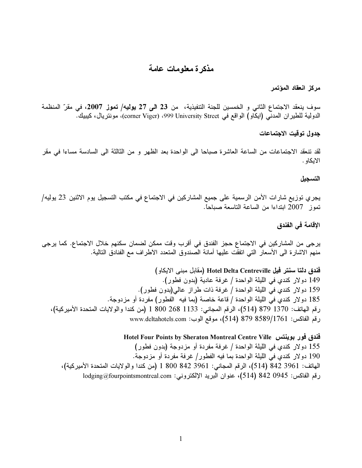## مذكرة معلومات عامة

مركز انعقاد المؤتمر

سوف ينعقد الاجتماع الثاني و الخمسين للجنة التنفيذية، من 23 ا**لى 2**7 **يولي**ه/ **تموز 200**7، في مقرّ المنظمة الدولية للطير ان المدني (ايكاو) الواقع في Vniversity Street 999 University 3treet، مونتريال، كيبيك.

جدول توقيت الاجتماعات

لقد تنعقد الاجتماعات من الساعه العاشرة صباحاً الى الواحدة بعد الظهر و من التالته الى السادسه مساءاً في مقر الايكاو .

## التسجيل

يجري توزيع شارات الأمن الرسمية على جميع المشاركين في الاجتماع في مكتب التسجيل يوم الاثنين 23 يوليه/ نموز 2007 ابنداءا من الساعة الناسعة صباحاً.

## الإقامة في الفندق

يرجى من المشاركين في الاجتماع حجز الفندق في افرب وفت ممكن لضمان سكنهم خلال الاجتماع. كما يرجى منهم الأشارة الى الأسعار التي اتَّفُفت عليها امانه الصندوق المتَّعدد الأطر اف مع الفنادق التَّاليه.

l, فندق دلتا سنتر فيل Hotel Delta Centreville (مقابل مبنى الايكاو) 149 دولار كندي في الليلة الواحدة / غرفة عادية (بدون فطور). 159 دولار كندي في الليلة الواحدة / غرفة ذات طراز عالمي(بدون فطور). ٍ 185 دولار كندي في الليلة الواحدة / قاعة خاصة (بما فيه الفطور) مفردة أو مزدوجة. رقم الهاتف: 1370 (874 (514)، الرقم المجاني: 1133 268 100 1 (من كندا والولايات المتحدة الأميركية)، رقم الفاكس: 8589/1761 (514) 679 actahotels.com)، موقع الوب: www.deltahotels.com

> Hotel Four Points by Sheraton Montreal Centre Ville !

155 دولار كندي في الليلة الواحدة / غرفة مفردة أو مزدوجة (بدون فطور) 190 دولار كندي في الليلة الواحدة بما فيه الفطور / غرفة مفردة أو مزدوجة. الهاتف: 842 3961 (514)، الرقم المجاني: 3961 842 800 1 (من كندا والولايات المتحدة الأميركية)، رقم الفاكس: 842 842 (514)، عنوان البريد الإلكتروني: lodging@fourpointsmontreal.com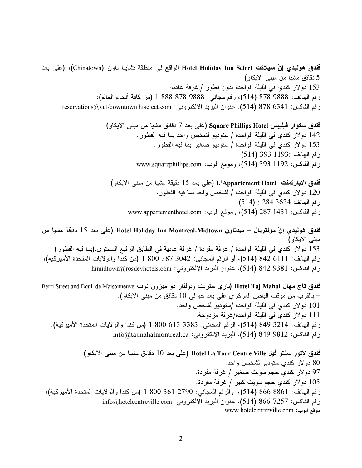فندق هوليدي إنّ سيلاكت Hotel Holiday Inn Select الواقع في منطقة تشاينا ناون (Chinatown)، (على بعد 5 دقائق مشيا من مبنى الايكاو) 153 دولار كندي في الليلة الواحدة بدون فطور / غرفة عادية. رقم المهاتف: 9888 878 (514)، رقم مجاني: 9888 878 888 1 (من كافة أنحاء العالم)، رقم الفاكس: 878 (514 S78). عنوان البريد الإلكتروني: reservations@yul/downtown.hiselect.com

> فندق سكوار فيليبس Square Phillips Hotel (على بعد 7 دقائق مشيا من مبنى الايكاو) 142 دولار كندي في الليلة الواحدة / ستوديو لشخص واحد بما فيه الفطور . 153 دولار كندي في الليلة الواحدة / ستوديو صغير بما فيه الفطور . رقم الـهاتف :1193 (514) رقم الفاكس: 1192 393 (514)، وموقع الوب: www.squarephillips.com

فندق الأبارتمنت L'Appartement Hotel (على بعد 15 دقيقة مشيا من مبنى الايكاو) 120 دولار كندي في الليلة الواحدة / لشخص واحد بما فيه الفطور . رقم المهاتف 3634 284 : (514) رقم الفاكس: 1431 287 (514)، وموقع الوب: www.appartementhotel.com

فُندق هوليديِ إنّ مونتريال – ميدتاون Hotel Holiday Inn Montreal-Midtown (على بعد 15 دقيقة مشيا من مبنی الایکاو ) 153 دولار كندي في الليلة الواحدة / غرفة مفردة / غرفة عادية في الطابق الرفيع المستوى.(بما فيه الفطور) رقم المهاتف: 6111 842 (514)، أو الرقم المجاني: 3042 387 300 1 (من كندا والولايات المتحدة الأميركية)، رقم الفاكس: 842 842 842 (514). عنوان البريد الإلكتروني: himidtown@rosdevhotels.com

فندق تاج مهال Hotel Taj Mahal (باري سنريت وبولفار دو ميزون نوف Berri Street and Boul. de Maisonneuve – بالقرب من موقف الباص المركزي على بعد حوالى 10 دقائق من مبنى الايكاو). 101 دولار كندي في الليلة الواحدة /ستوديو لشخص واحد. 111 دولار كندي في الليلة الواحدة/غرفة مزدوجة. رقم الهاتف: 3214 (814 (514)، الرقم المجاني: 3383 613 1800 (من كندا والولايات المتحدة الأميركية).  $\sim$ رقم الفاكس: 9812 849 849 (514). البريد الالكتروني: info@tajmahalmontreal.ca

 ( '\$

 /
 ;C" 10 \$ '0) Hotel La Tour Centre Ville ., D/ 4 80 .+
 ? / E- 1 6, 4 97 .+
 ? / \$ 1 6, 4 105 (
2 +, 1 
) 1 800 361 2790 : 6" (514) 866 8861 :\* 6" info@hotelcentreville.com :B \$ 0 .(514) 866 7257 :A 6" www.hotelcentreville.com :-